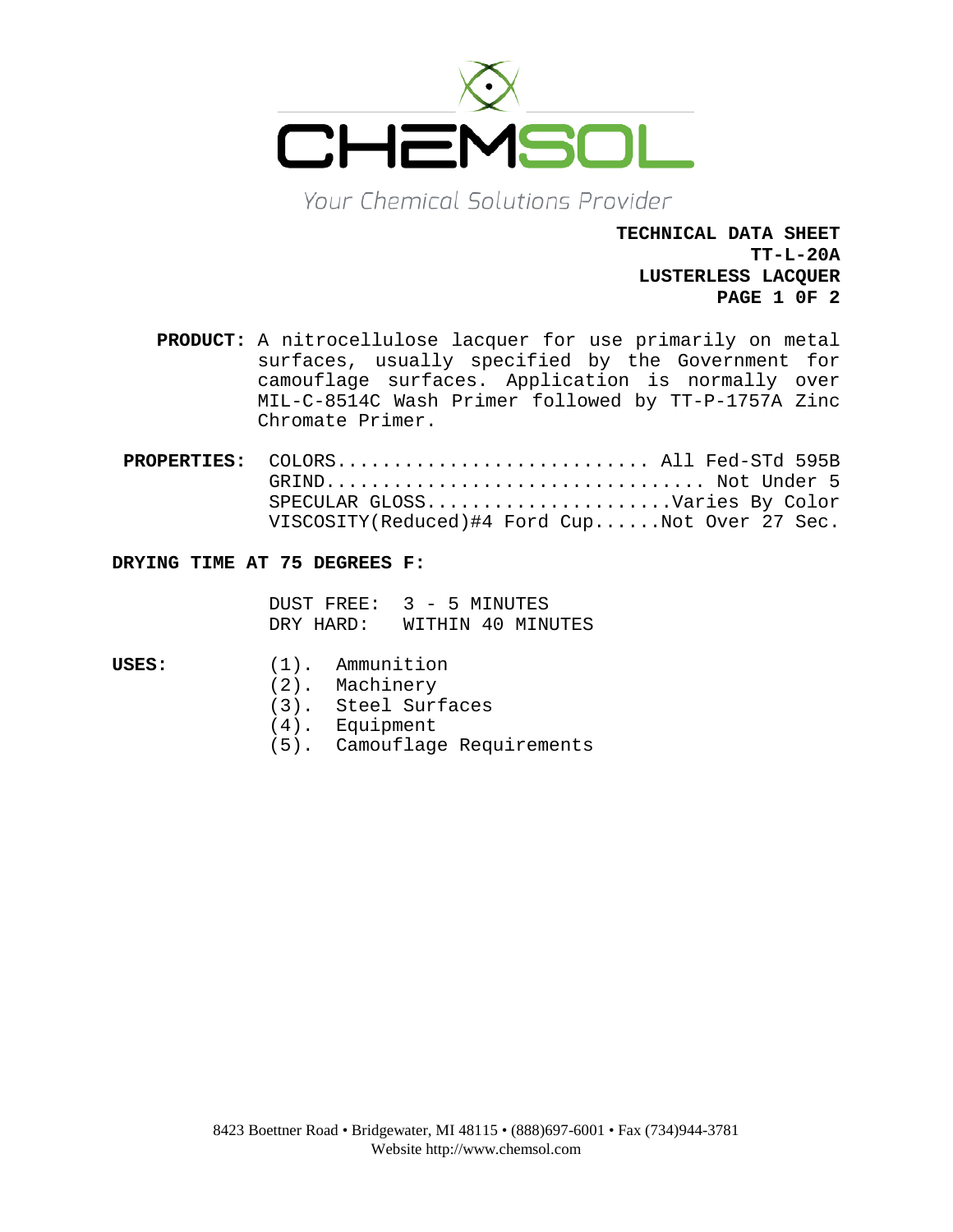

Your Chemical Solutions Provider

**TECHNICAL DATA SHEET TT-L-20A LUSTERLESS LACQUER PAGE 1 0F 2**

- **PRODUCT:** A nitrocellulose lacquer for use primarily on metal surfaces, usually specified by the Government for camouflage surfaces. Application is normally over MIL-C-8514C Wash Primer followed by TT-P-1757A Zinc Chromate Primer.
- PROPERTIES: COLORS................................. All Fed-STd 595B GRIND.................................. Not Under 5 SPECULAR GLOSS......................Varies By Color VISCOSITY(Reduced)#4 Ford Cup......Not Over 27 Sec.

# **DRYING TIME AT 75 DEGREES F:**

DUST FREE: 3 - 5 MINUTES<br>DRY HARD: WITHIN 40 MIN WITHIN 40 MINUTES

- 
- **USES:** (1). Ammunition
	- (2). Machinery
	- (3). Steel Surfaces
	- (4). Equipment
	- (5). Camouflage Requirements